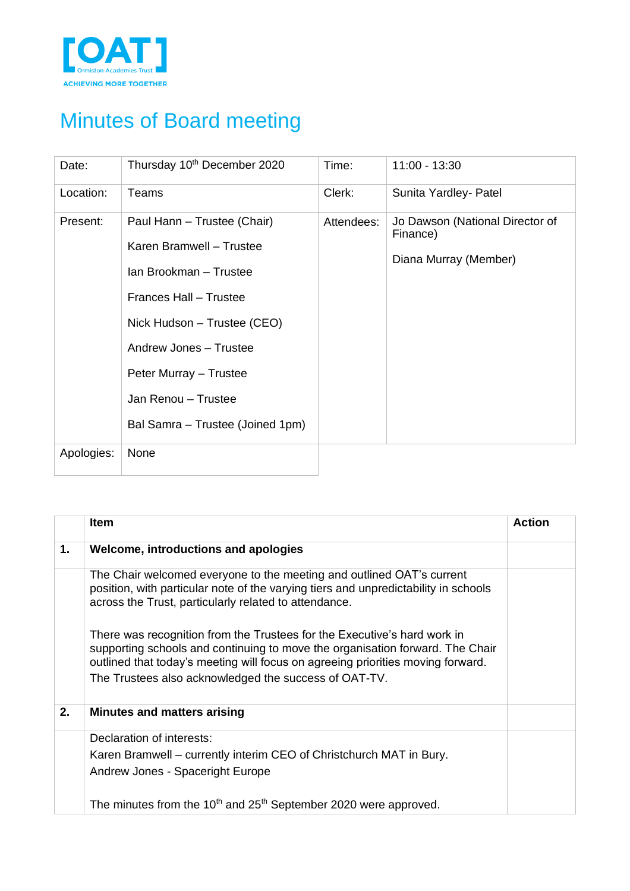

## Minutes of Board meeting

| Date:      | Thursday 10th December 2020                                                                                                                                                                                                                               | Time:      | 11:00 - 13:30                                                        |
|------------|-----------------------------------------------------------------------------------------------------------------------------------------------------------------------------------------------------------------------------------------------------------|------------|----------------------------------------------------------------------|
| Location:  | Teams                                                                                                                                                                                                                                                     | Clerk:     | Sunita Yardley- Patel                                                |
| Present:   | Paul Hann - Trustee (Chair)<br>Karen Bramwell - Trustee<br>Ian Brookman - Trustee<br>Frances Hall - Trustee<br>Nick Hudson - Trustee (CEO)<br>Andrew Jones - Trustee<br>Peter Murray - Trustee<br>Jan Renou - Trustee<br>Bal Samra - Trustee (Joined 1pm) | Attendees: | Jo Dawson (National Director of<br>Finance)<br>Diana Murray (Member) |
| Apologies: | None                                                                                                                                                                                                                                                      |            |                                                                      |

|    | <b>Item</b>                                                                                                                                                                                                                                                                                           | Action |
|----|-------------------------------------------------------------------------------------------------------------------------------------------------------------------------------------------------------------------------------------------------------------------------------------------------------|--------|
| 1. | Welcome, introductions and apologies                                                                                                                                                                                                                                                                  |        |
|    | The Chair welcomed everyone to the meeting and outlined OAT's current<br>position, with particular note of the varying tiers and unpredictability in schools<br>across the Trust, particularly related to attendance.                                                                                 |        |
|    | There was recognition from the Trustees for the Executive's hard work in<br>supporting schools and continuing to move the organisation forward. The Chair<br>outlined that today's meeting will focus on agreeing priorities moving forward.<br>The Trustees also acknowledged the success of OAT-TV. |        |
| 2. | <b>Minutes and matters arising</b>                                                                                                                                                                                                                                                                    |        |
|    | Declaration of interests:                                                                                                                                                                                                                                                                             |        |
|    | Karen Bramwell – currently interim CEO of Christchurch MAT in Bury.<br>Andrew Jones - Spaceright Europe                                                                                                                                                                                               |        |
|    | The minutes from the $10th$ and 25 <sup>th</sup> September 2020 were approved.                                                                                                                                                                                                                        |        |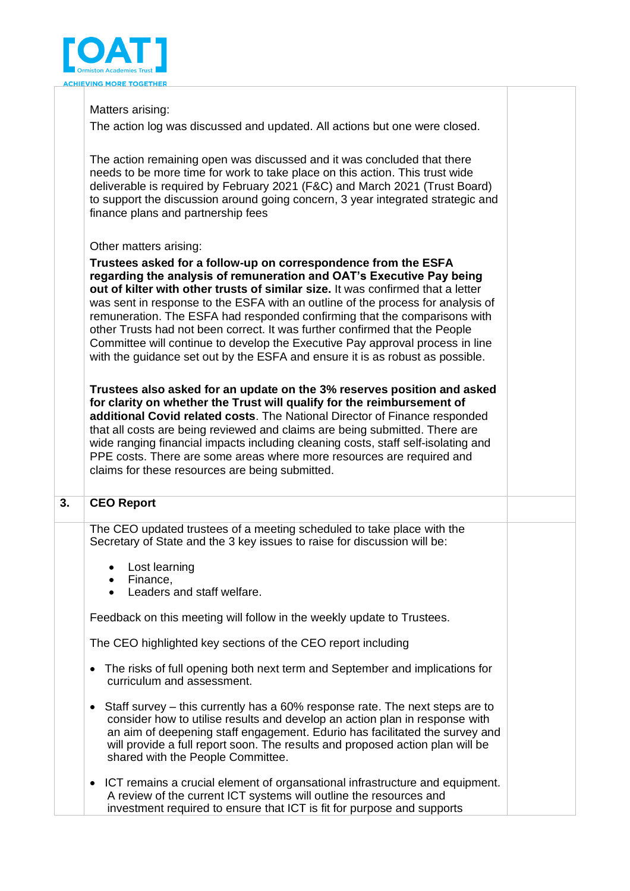

## Matters arising:

The action log was discussed and updated. All actions but one were closed.

The action remaining open was discussed and it was concluded that there needs to be more time for work to take place on this action. This trust wide deliverable is required by February 2021 (F&C) and March 2021 (Trust Board) to support the discussion around going concern, 3 year integrated strategic and finance plans and partnership fees

## Other matters arising:

**Trustees asked for a follow-up on correspondence from the ESFA regarding the analysis of remuneration and OAT's Executive Pay being out of kilter with other trusts of similar size.** It was confirmed that a letter was sent in response to the ESFA with an outline of the process for analysis of remuneration. The ESFA had responded confirming that the comparisons with other Trusts had not been correct. It was further confirmed that the People Committee will continue to develop the Executive Pay approval process in line with the guidance set out by the ESFA and ensure it is as robust as possible.

**Trustees also asked for an update on the 3% reserves position and asked for clarity on whether the Trust will qualify for the reimbursement of additional Covid related costs**. The National Director of Finance responded that all costs are being reviewed and claims are being submitted. There are wide ranging financial impacts including cleaning costs, staff self-isolating and PPE costs. There are some areas where more resources are required and claims for these resources are being submitted.

## **3. CEO Report**

The CEO updated trustees of a meeting scheduled to take place with the Secretary of State and the 3 key issues to raise for discussion will be:

- Lost learning
- Finance,
- Leaders and staff welfare.

Feedback on this meeting will follow in the weekly update to Trustees.

The CEO highlighted key sections of the CEO report including

- The risks of full opening both next term and September and implications for curriculum and assessment.
- Staff survey this currently has a 60% response rate. The next steps are to consider how to utilise results and develop an action plan in response with an aim of deepening staff engagement. Edurio has facilitated the survey and will provide a full report soon. The results and proposed action plan will be shared with the People Committee.
- ICT remains a crucial element of organsational infrastructure and equipment. A review of the current ICT systems will outline the resources and investment required to ensure that ICT is fit for purpose and supports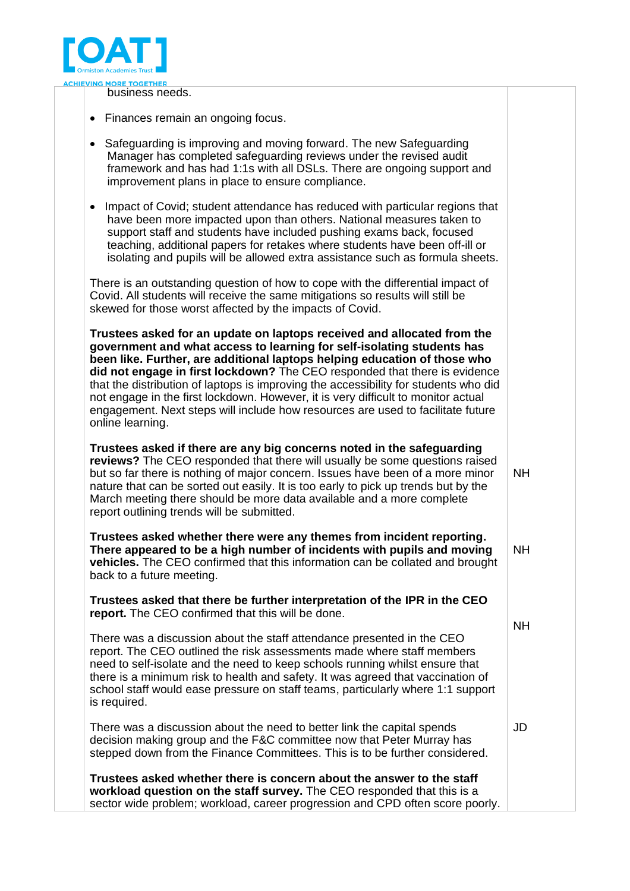

business needs.

- Finances remain an ongoing focus.
- Safeguarding is improving and moving forward. The new Safeguarding Manager has completed safeguarding reviews under the revised audit framework and has had 1:1s with all DSLs. There are ongoing support and improvement plans in place to ensure compliance.
- Impact of Covid; student attendance has reduced with particular regions that have been more impacted upon than others. National measures taken to support staff and students have included pushing exams back, focused teaching, additional papers for retakes where students have been off-ill or isolating and pupils will be allowed extra assistance such as formula sheets.

There is an outstanding question of how to cope with the differential impact of Covid. All students will receive the same mitigations so results will still be skewed for those worst affected by the impacts of Covid.

**Trustees asked for an update on laptops received and allocated from the government and what access to learning for self-isolating students has been like. Further, are additional laptops helping education of those who did not engage in first lockdown?** The CEO responded that there is evidence that the distribution of laptops is improving the accessibility for students who did not engage in the first lockdown. However, it is very difficult to monitor actual engagement. Next steps will include how resources are used to facilitate future online learning.

**Trustees asked if there are any big concerns noted in the safeguarding reviews?** The CEO responded that there will usually be some questions raised but so far there is nothing of major concern. Issues have been of a more minor nature that can be sorted out easily. It is too early to pick up trends but by the March meeting there should be more data available and a more complete report outlining trends will be submitted. NH

**Trustees asked whether there were any themes from incident reporting. There appeared to be a high number of incidents with pupils and moving vehicles.** The CEO confirmed that this information can be collated and brought back to a future meeting. NH

NH

JD

**Trustees asked that there be further interpretation of the IPR in the CEO report.** The CEO confirmed that this will be done.

There was a discussion about the staff attendance presented in the CEO report. The CEO outlined the risk assessments made where staff members need to self-isolate and the need to keep schools running whilst ensure that there is a minimum risk to health and safety. It was agreed that vaccination of school staff would ease pressure on staff teams, particularly where 1:1 support is required.

There was a discussion about the need to better link the capital spends decision making group and the F&C committee now that Peter Murray has stepped down from the Finance Committees. This is to be further considered.

**Trustees asked whether there is concern about the answer to the staff workload question on the staff survey.** The CEO responded that this is a sector wide problem; workload, career progression and CPD often score poorly.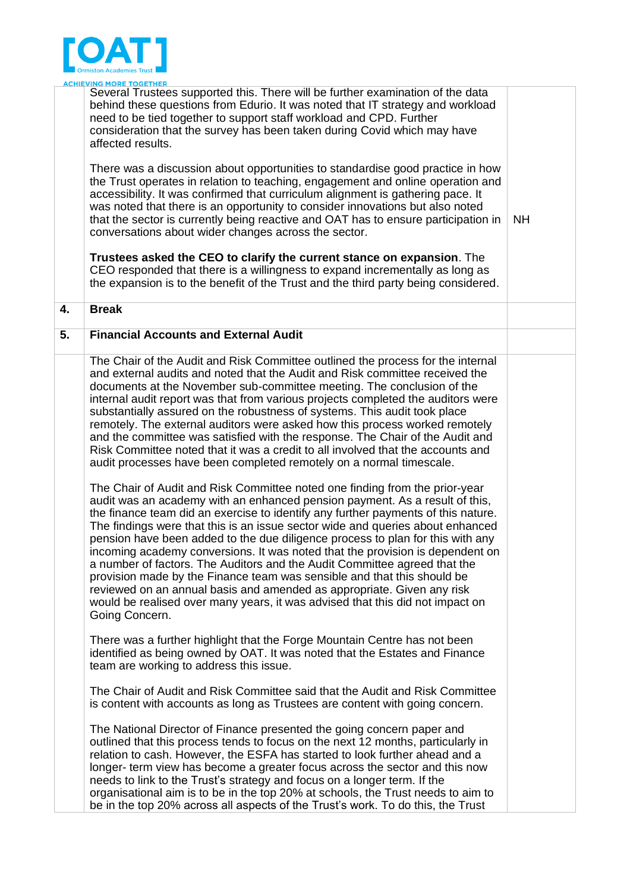

|    | <u>ACHIEVING MORE TOGETHER</u><br>Several Trustees supported this. There will be further examination of the data<br>behind these questions from Edurio. It was noted that IT strategy and workload<br>need to be tied together to support staff workload and CPD. Further<br>consideration that the survey has been taken during Covid which may have<br>affected results.<br>There was a discussion about opportunities to standardise good practice in how<br>the Trust operates in relation to teaching, engagement and online operation and<br>accessibility. It was confirmed that curriculum alignment is gathering pace. It<br>was noted that there is an opportunity to consider innovations but also noted<br>that the sector is currently being reactive and OAT has to ensure participation in<br>conversations about wider changes across the sector.<br>Trustees asked the CEO to clarify the current stance on expansion. The<br>CEO responded that there is a willingness to expand incrementally as long as<br>the expansion is to the benefit of the Trust and the third party being considered.                                                                                                                                                                                                                                                                                                                                                                                                                                                                 | <b>NH</b> |
|----|-----------------------------------------------------------------------------------------------------------------------------------------------------------------------------------------------------------------------------------------------------------------------------------------------------------------------------------------------------------------------------------------------------------------------------------------------------------------------------------------------------------------------------------------------------------------------------------------------------------------------------------------------------------------------------------------------------------------------------------------------------------------------------------------------------------------------------------------------------------------------------------------------------------------------------------------------------------------------------------------------------------------------------------------------------------------------------------------------------------------------------------------------------------------------------------------------------------------------------------------------------------------------------------------------------------------------------------------------------------------------------------------------------------------------------------------------------------------------------------------------------------------------------------------------------------------------------------|-----------|
| 4. | <b>Break</b>                                                                                                                                                                                                                                                                                                                                                                                                                                                                                                                                                                                                                                                                                                                                                                                                                                                                                                                                                                                                                                                                                                                                                                                                                                                                                                                                                                                                                                                                                                                                                                      |           |
| 5. | <b>Financial Accounts and External Audit</b>                                                                                                                                                                                                                                                                                                                                                                                                                                                                                                                                                                                                                                                                                                                                                                                                                                                                                                                                                                                                                                                                                                                                                                                                                                                                                                                                                                                                                                                                                                                                      |           |
|    | The Chair of the Audit and Risk Committee outlined the process for the internal<br>and external audits and noted that the Audit and Risk committee received the<br>documents at the November sub-committee meeting. The conclusion of the<br>internal audit report was that from various projects completed the auditors were<br>substantially assured on the robustness of systems. This audit took place<br>remotely. The external auditors were asked how this process worked remotely<br>and the committee was satisfied with the response. The Chair of the Audit and<br>Risk Committee noted that it was a credit to all involved that the accounts and<br>audit processes have been completed remotely on a normal timescale.<br>The Chair of Audit and Risk Committee noted one finding from the prior-year<br>audit was an academy with an enhanced pension payment. As a result of this,<br>the finance team did an exercise to identify any further payments of this nature.<br>The findings were that this is an issue sector wide and queries about enhanced<br>pension have been added to the due diligence process to plan for this with any<br>incoming academy conversions. It was noted that the provision is dependent on<br>a number of factors. The Auditors and the Audit Committee agreed that the<br>provision made by the Finance team was sensible and that this should be<br>reviewed on an annual basis and amended as appropriate. Given any risk<br>would be realised over many years, it was advised that this did not impact on<br>Going Concern. |           |
|    | There was a further highlight that the Forge Mountain Centre has not been<br>identified as being owned by OAT. It was noted that the Estates and Finance<br>team are working to address this issue.                                                                                                                                                                                                                                                                                                                                                                                                                                                                                                                                                                                                                                                                                                                                                                                                                                                                                                                                                                                                                                                                                                                                                                                                                                                                                                                                                                               |           |
|    | The Chair of Audit and Risk Committee said that the Audit and Risk Committee<br>is content with accounts as long as Trustees are content with going concern.                                                                                                                                                                                                                                                                                                                                                                                                                                                                                                                                                                                                                                                                                                                                                                                                                                                                                                                                                                                                                                                                                                                                                                                                                                                                                                                                                                                                                      |           |
|    | The National Director of Finance presented the going concern paper and<br>outlined that this process tends to focus on the next 12 months, particularly in<br>relation to cash. However, the ESFA has started to look further ahead and a<br>longer- term view has become a greater focus across the sector and this now<br>needs to link to the Trust's strategy and focus on a longer term. If the<br>organisational aim is to be in the top 20% at schools, the Trust needs to aim to<br>be in the top 20% across all aspects of the Trust's work. To do this, the Trust                                                                                                                                                                                                                                                                                                                                                                                                                                                                                                                                                                                                                                                                                                                                                                                                                                                                                                                                                                                                       |           |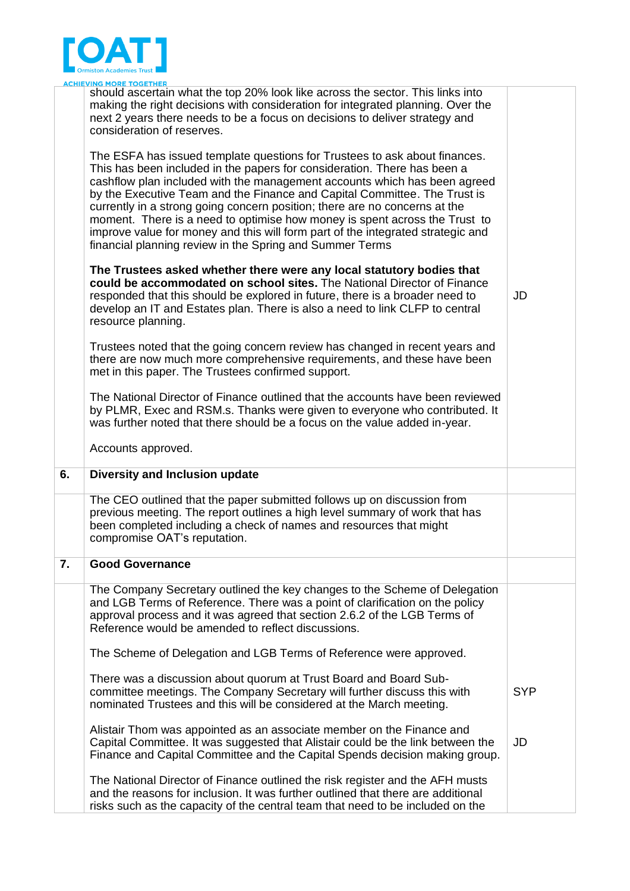

|    | <b>ACHIEVING MORE TOGETHER</b>                                                                                                                                                                                                                                                                                                                                                                                                                                                                                                                                                                                              |            |
|----|-----------------------------------------------------------------------------------------------------------------------------------------------------------------------------------------------------------------------------------------------------------------------------------------------------------------------------------------------------------------------------------------------------------------------------------------------------------------------------------------------------------------------------------------------------------------------------------------------------------------------------|------------|
|    | should ascertain what the top 20% look like across the sector. This links into<br>making the right decisions with consideration for integrated planning. Over the<br>next 2 years there needs to be a focus on decisions to deliver strategy and<br>consideration of reserves.                                                                                                                                                                                                                                                                                                                                              |            |
|    | The ESFA has issued template questions for Trustees to ask about finances.<br>This has been included in the papers for consideration. There has been a<br>cashflow plan included with the management accounts which has been agreed<br>by the Executive Team and the Finance and Capital Committee. The Trust is<br>currently in a strong going concern position; there are no concerns at the<br>moment. There is a need to optimise how money is spent across the Trust to<br>improve value for money and this will form part of the integrated strategic and<br>financial planning review in the Spring and Summer Terms |            |
|    | The Trustees asked whether there were any local statutory bodies that<br>could be accommodated on school sites. The National Director of Finance<br>responded that this should be explored in future, there is a broader need to<br>develop an IT and Estates plan. There is also a need to link CLFP to central<br>resource planning.                                                                                                                                                                                                                                                                                      | JD         |
|    | Trustees noted that the going concern review has changed in recent years and<br>there are now much more comprehensive requirements, and these have been<br>met in this paper. The Trustees confirmed support.                                                                                                                                                                                                                                                                                                                                                                                                               |            |
|    | The National Director of Finance outlined that the accounts have been reviewed<br>by PLMR, Exec and RSM.s. Thanks were given to everyone who contributed. It<br>was further noted that there should be a focus on the value added in-year.                                                                                                                                                                                                                                                                                                                                                                                  |            |
|    | Accounts approved.                                                                                                                                                                                                                                                                                                                                                                                                                                                                                                                                                                                                          |            |
| 6. | Diversity and Inclusion update                                                                                                                                                                                                                                                                                                                                                                                                                                                                                                                                                                                              |            |
|    | The CEO outlined that the paper submitted follows up on discussion from<br>previous meeting. The report outlines a high level summary of work that has<br>been completed including a check of names and resources that might<br>compromise OAT's reputation.                                                                                                                                                                                                                                                                                                                                                                |            |
| 7. | <b>Good Governance</b>                                                                                                                                                                                                                                                                                                                                                                                                                                                                                                                                                                                                      |            |
|    | The Company Secretary outlined the key changes to the Scheme of Delegation<br>and LGB Terms of Reference. There was a point of clarification on the policy<br>approval process and it was agreed that section 2.6.2 of the LGB Terms of<br>Reference would be amended to reflect discussions.                                                                                                                                                                                                                                                                                                                               |            |
|    | The Scheme of Delegation and LGB Terms of Reference were approved.                                                                                                                                                                                                                                                                                                                                                                                                                                                                                                                                                          |            |
|    | There was a discussion about quorum at Trust Board and Board Sub-<br>committee meetings. The Company Secretary will further discuss this with<br>nominated Trustees and this will be considered at the March meeting.                                                                                                                                                                                                                                                                                                                                                                                                       | <b>SYP</b> |
|    | Alistair Thom was appointed as an associate member on the Finance and<br>Capital Committee. It was suggested that Alistair could be the link between the<br>Finance and Capital Committee and the Capital Spends decision making group.                                                                                                                                                                                                                                                                                                                                                                                     | JD         |
|    | The National Director of Finance outlined the risk register and the AFH musts<br>and the reasons for inclusion. It was further outlined that there are additional<br>risks such as the capacity of the central team that need to be included on the                                                                                                                                                                                                                                                                                                                                                                         |            |